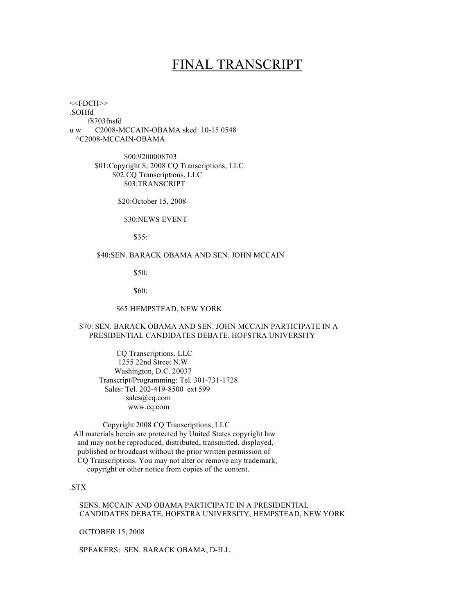# FINAL TRANSCRIPT

<<FDCH>> .SOHfd f8703fnsfd u w C2008-MCCAIN-OBAMA sked 10-15 0548 ^C2008-MCCAIN-OBAMA

> \$00:9200008703 \$01:Copyright \$; 2008 CQ Transcriptions, LLC \$02:CQ Transcriptions, LLC \$03:TRANSCRIPT

> > \$20:October 15, 2008

\$30:NEWS EVENT

\$35:

## \$40:SEN. BARACK OBAMA AND SEN. JOHN MCCAIN

\$50:

\$60:

## \$65:HEMPSTEAD, NEW YORK

# \$70: SEN. BARACK OBAMA AND SEN. JOHN MCCAIN PARTICIPATE IN A PRESIDENTIAL CANDIDATES DEBATE, HOFSTRA UNIVERSITY

 CQ Transcriptions, LLC 1255 22nd Street N.W. Washington, D.C. 20037 Transcript/Programming: Tel. 301-731-1728 Sales: Tel. 202-419-8500 ext 599 sales@cq.com www.cq.com

 Copyright 2008 CQ Transcriptions, LLC All materials herein are protected by United States copyright law and may not be reproduced, distributed, transmitted, displayed, published or broadcast without the prior written permission of CQ Transcriptions. You may not alter or remove any trademark, copyright or other notice from copies of the content.

# .STX

# SENS. MCCAIN AND OBAMA PARTICIPATE IN A PRESIDENTIAL CANDIDATES DEBATE, HOFSTRA UNIVERSITY, HEMPSTEAD, NEW YORK

OCTOBER 15, 2008

SPEAKERS: SEN. BARACK OBAMA, D-ILL.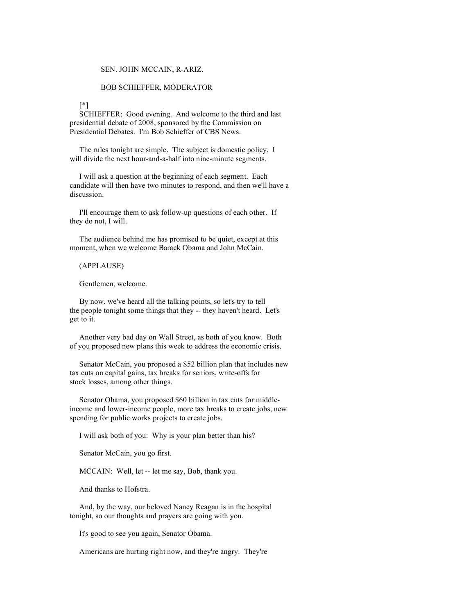#### SEN. JOHN MCCAIN, R-ARIZ.

#### BOB SCHIEFFER, MODERATOR

[\*]

 SCHIEFFER: Good evening. And welcome to the third and last presidential debate of 2008, sponsored by the Commission on Presidential Debates. I'm Bob Schieffer of CBS News.

 The rules tonight are simple. The subject is domestic policy. I will divide the next hour-and-a-half into nine-minute segments.

 I will ask a question at the beginning of each segment. Each candidate will then have two minutes to respond, and then we'll have a discussion.

 I'll encourage them to ask follow-up questions of each other. If they do not, I will.

 The audience behind me has promised to be quiet, except at this moment, when we welcome Barack Obama and John McCain.

(APPLAUSE)

Gentlemen, welcome.

 By now, we've heard all the talking points, so let's try to tell the people tonight some things that they -- they haven't heard. Let's get to it.

 Another very bad day on Wall Street, as both of you know. Both of you proposed new plans this week to address the economic crisis.

 Senator McCain, you proposed a \$52 billion plan that includes new tax cuts on capital gains, tax breaks for seniors, write-offs for stock losses, among other things.

 Senator Obama, you proposed \$60 billion in tax cuts for middleincome and lower-income people, more tax breaks to create jobs, new spending for public works projects to create jobs.

I will ask both of you: Why is your plan better than his?

Senator McCain, you go first.

MCCAIN: Well, let -- let me say, Bob, thank you.

And thanks to Hofstra.

 And, by the way, our beloved Nancy Reagan is in the hospital tonight, so our thoughts and prayers are going with you.

It's good to see you again, Senator Obama.

Americans are hurting right now, and they're angry. They're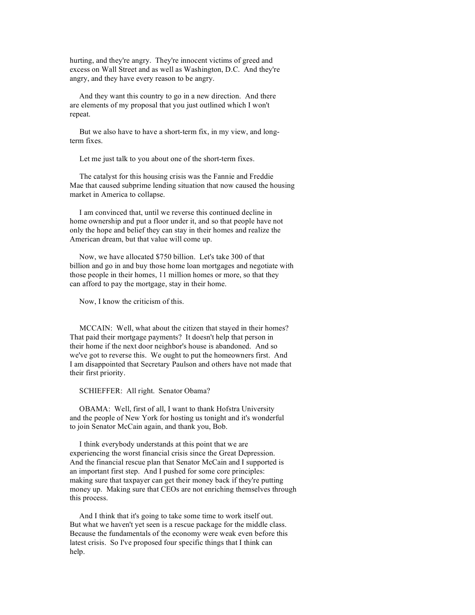hurting, and they're angry. They're innocent victims of greed and excess on Wall Street and as well as Washington, D.C. And they're angry, and they have every reason to be angry.

 And they want this country to go in a new direction. And there are elements of my proposal that you just outlined which I won't repeat.

 But we also have to have a short-term fix, in my view, and longterm fixes.

Let me just talk to you about one of the short-term fixes.

 The catalyst for this housing crisis was the Fannie and Freddie Mae that caused subprime lending situation that now caused the housing market in America to collapse.

 I am convinced that, until we reverse this continued decline in home ownership and put a floor under it, and so that people have not only the hope and belief they can stay in their homes and realize the American dream, but that value will come up.

 Now, we have allocated \$750 billion. Let's take 300 of that billion and go in and buy those home loan mortgages and negotiate with those people in their homes, 11 million homes or more, so that they can afford to pay the mortgage, stay in their home.

Now, I know the criticism of this.

 MCCAIN: Well, what about the citizen that stayed in their homes? That paid their mortgage payments? It doesn't help that person in their home if the next door neighbor's house is abandoned. And so we've got to reverse this. We ought to put the homeowners first. And I am disappointed that Secretary Paulson and others have not made that their first priority.

SCHIEFFER: All right. Senator Obama?

 OBAMA: Well, first of all, I want to thank Hofstra University and the people of New York for hosting us tonight and it's wonderful to join Senator McCain again, and thank you, Bob.

 I think everybody understands at this point that we are experiencing the worst financial crisis since the Great Depression. And the financial rescue plan that Senator McCain and I supported is an important first step. And I pushed for some core principles: making sure that taxpayer can get their money back if they're putting money up. Making sure that CEOs are not enriching themselves through this process.

 And I think that it's going to take some time to work itself out. But what we haven't yet seen is a rescue package for the middle class. Because the fundamentals of the economy were weak even before this latest crisis. So I've proposed four specific things that I think can help.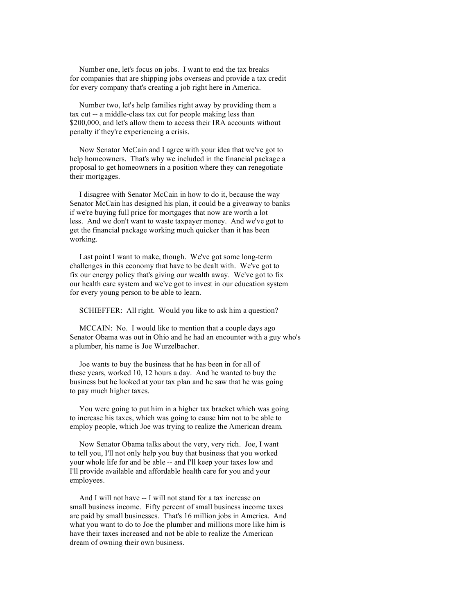Number one, let's focus on jobs. I want to end the tax breaks for companies that are shipping jobs overseas and provide a tax credit for every company that's creating a job right here in America.

 Number two, let's help families right away by providing them a tax cut -- a middle-class tax cut for people making less than \$200,000, and let's allow them to access their IRA accounts without penalty if they're experiencing a crisis.

 Now Senator McCain and I agree with your idea that we've got to help homeowners. That's why we included in the financial package a proposal to get homeowners in a position where they can renegotiate their mortgages.

 I disagree with Senator McCain in how to do it, because the way Senator McCain has designed his plan, it could be a giveaway to banks if we're buying full price for mortgages that now are worth a lot less. And we don't want to waste taxpayer money. And we've got to get the financial package working much quicker than it has been working.

 Last point I want to make, though. We've got some long-term challenges in this economy that have to be dealt with. We've got to fix our energy policy that's giving our wealth away. We've got to fix our health care system and we've got to invest in our education system for every young person to be able to learn.

SCHIEFFER: All right. Would you like to ask him a question?

MCCAIN: No. I would like to mention that a couple days ago Senator Obama was out in Ohio and he had an encounter with a guy who's a plumber, his name is Joe Wurzelbacher.

 Joe wants to buy the business that he has been in for all of these years, worked 10, 12 hours a day. And he wanted to buy the business but he looked at your tax plan and he saw that he was going to pay much higher taxes.

 You were going to put him in a higher tax bracket which was going to increase his taxes, which was going to cause him not to be able to employ people, which Joe was trying to realize the American dream.

 Now Senator Obama talks about the very, very rich. Joe, I want to tell you, I'll not only help you buy that business that you worked your whole life for and be able -- and I'll keep your taxes low and I'll provide available and affordable health care for you and your employees.

 And I will not have -- I will not stand for a tax increase on small business income. Fifty percent of small business income taxes are paid by small businesses. That's 16 million jobs in America. And what you want to do to Joe the plumber and millions more like him is have their taxes increased and not be able to realize the American dream of owning their own business.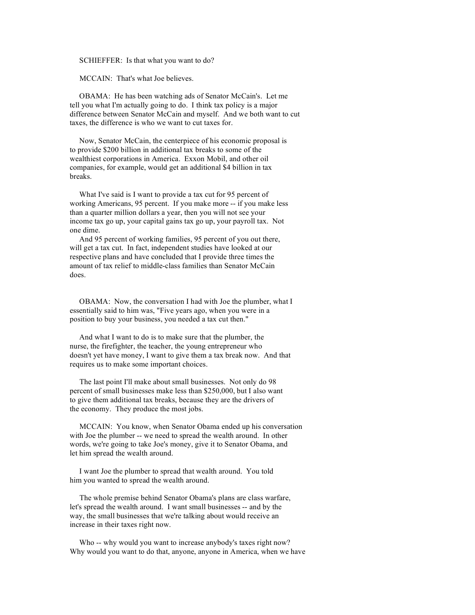SCHIEFFER: Is that what you want to do?

MCCAIN: That's what Joe believes.

 OBAMA: He has been watching ads of Senator McCain's. Let me tell you what I'm actually going to do. I think tax policy is a major difference between Senator McCain and myself. And we both want to cut taxes, the difference is who we want to cut taxes for.

 Now, Senator McCain, the centerpiece of his economic proposal is to provide \$200 billion in additional tax breaks to some of the wealthiest corporations in America. Exxon Mobil, and other oil companies, for example, would get an additional \$4 billion in tax breaks.

 What I've said is I want to provide a tax cut for 95 percent of working Americans, 95 percent. If you make more -- if you make less than a quarter million dollars a year, then you will not see your income tax go up, your capital gains tax go up, your payroll tax. Not one dime.

 And 95 percent of working families, 95 percent of you out there, will get a tax cut. In fact, independent studies have looked at our respective plans and have concluded that I provide three times the amount of tax relief to middle-class families than Senator McCain does.

 OBAMA: Now, the conversation I had with Joe the plumber, what I essentially said to him was, "Five years ago, when you were in a position to buy your business, you needed a tax cut then."

 And what I want to do is to make sure that the plumber, the nurse, the firefighter, the teacher, the young entrepreneur who doesn't yet have money, I want to give them a tax break now. And that requires us to make some important choices.

 The last point I'll make about small businesses. Not only do 98 percent of small businesses make less than \$250,000, but I also want to give them additional tax breaks, because they are the drivers of the economy. They produce the most jobs.

 MCCAIN: You know, when Senator Obama ended up his conversation with Joe the plumber -- we need to spread the wealth around. In other words, we're going to take Joe's money, give it to Senator Obama, and let him spread the wealth around.

 I want Joe the plumber to spread that wealth around. You told him you wanted to spread the wealth around.

 The whole premise behind Senator Obama's plans are class warfare, let's spread the wealth around. I want small businesses -- and by the way, the small businesses that we're talking about would receive an increase in their taxes right now.

 Who -- why would you want to increase anybody's taxes right now? Why would you want to do that, anyone, anyone in America, when we have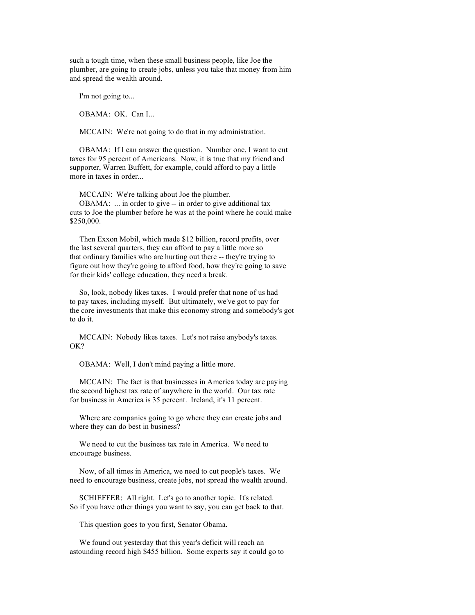such a tough time, when these small business people, like Joe the plumber, are going to create jobs, unless you take that money from him and spread the wealth around.

I'm not going to...

OBAMA: OK. Can I...

MCCAIN: We're not going to do that in my administration.

 OBAMA: If I can answer the question. Number one, I want to cut taxes for 95 percent of Americans. Now, it is true that my friend and supporter, Warren Buffett, for example, could afford to pay a little more in taxes in order...

MCCAIN: We're talking about Joe the plumber.

 OBAMA: ... in order to give -- in order to give additional tax cuts to Joe the plumber before he was at the point where he could make \$250,000.

 Then Exxon Mobil, which made \$12 billion, record profits, over the last several quarters, they can afford to pay a little more so that ordinary families who are hurting out there -- they're trying to figure out how they're going to afford food, how they're going to save for their kids' college education, they need a break.

 So, look, nobody likes taxes. I would prefer that none of us had to pay taxes, including myself. But ultimately, we've got to pay for the core investments that make this economy strong and somebody's got to do it.

 MCCAIN: Nobody likes taxes. Let's not raise anybody's taxes. OK?

OBAMA: Well, I don't mind paying a little more.

 MCCAIN: The fact is that businesses in America today are paying the second highest tax rate of anywhere in the world. Our tax rate for business in America is 35 percent. Ireland, it's 11 percent.

 Where are companies going to go where they can create jobs and where they can do best in business?

 We need to cut the business tax rate in America. We need to encourage business.

 Now, of all times in America, we need to cut people's taxes. We need to encourage business, create jobs, not spread the wealth around.

 SCHIEFFER: All right. Let's go to another topic. It's related. So if you have other things you want to say, you can get back to that.

This question goes to you first, Senator Obama.

 We found out yesterday that this year's deficit will reach an astounding record high \$455 billion. Some experts say it could go to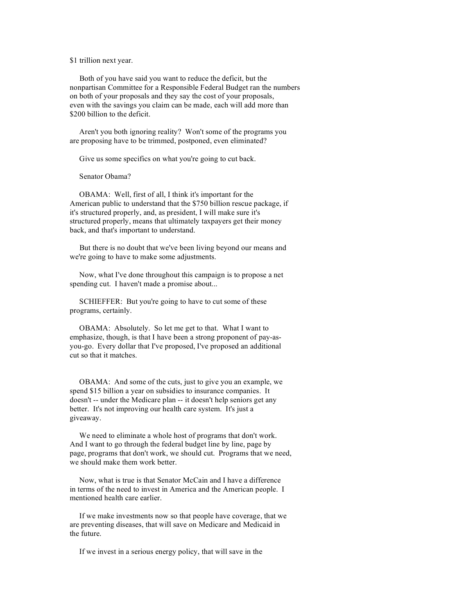#### \$1 trillion next year.

 Both of you have said you want to reduce the deficit, but the nonpartisan Committee for a Responsible Federal Budget ran the numbers on both of your proposals and they say the cost of your proposals, even with the savings you claim can be made, each will add more than \$200 billion to the deficit.

 Aren't you both ignoring reality? Won't some of the programs you are proposing have to be trimmed, postponed, even eliminated?

Give us some specifics on what you're going to cut back.

Senator Obama?

 OBAMA: Well, first of all, I think it's important for the American public to understand that the \$750 billion rescue package, if it's structured properly, and, as president, I will make sure it's structured properly, means that ultimately taxpayers get their money back, and that's important to understand.

 But there is no doubt that we've been living beyond our means and we're going to have to make some adjustments.

 Now, what I've done throughout this campaign is to propose a net spending cut. I haven't made a promise about...

SCHIEFFER: But you're going to have to cut some of these programs, certainly.

 OBAMA: Absolutely. So let me get to that. What I want to emphasize, though, is that I have been a strong proponent of pay-asyou-go. Every dollar that I've proposed, I've proposed an additional cut so that it matches.

 OBAMA: And some of the cuts, just to give you an example, we spend \$15 billion a year on subsidies to insurance companies. It doesn't -- under the Medicare plan -- it doesn't help seniors get any better. It's not improving our health care system. It's just a giveaway.

 We need to eliminate a whole host of programs that don't work. And I want to go through the federal budget line by line, page by page, programs that don't work, we should cut. Programs that we need, we should make them work better.

 Now, what is true is that Senator McCain and I have a difference in terms of the need to invest in America and the American people. I mentioned health care earlier.

 If we make investments now so that people have coverage, that we are preventing diseases, that will save on Medicare and Medicaid in the future.

If we invest in a serious energy policy, that will save in the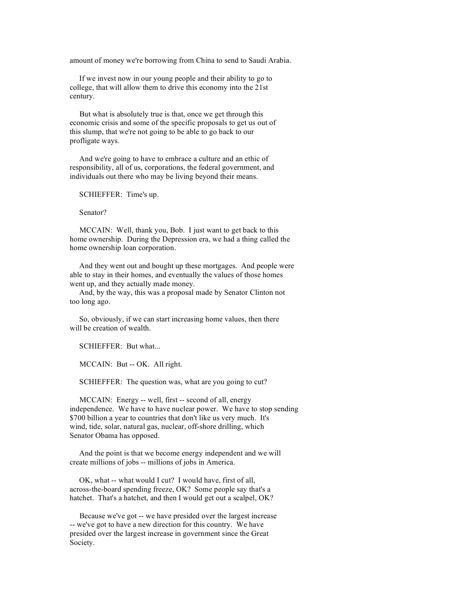amount of money we're borrowing from China to send to Saudi Arabia.

 If we invest now in our young people and their ability to go to college, that will allow them to drive this economy into the 21st century.

 But what is absolutely true is that, once we get through this economic crisis and some of the specific proposals to get us out of this slump, that we're not going to be able to go back to our profligate ways.

 And we're going to have to embrace a culture and an ethic of responsibility, all of us, corporations, the federal government, and individuals out there who may be living beyond their means.

SCHIEFFER: Time's up.

Senator?

 MCCAIN: Well, thank you, Bob. I just want to get back to this home ownership. During the Depression era, we had a thing called the home ownership loan corporation.

 And they went out and bought up these mortgages. And people were able to stay in their homes, and eventually the values of those homes went up, and they actually made money.

 And, by the way, this was a proposal made by Senator Clinton not too long ago.

 So, obviously, if we can start increasing home values, then there will be creation of wealth.

SCHIEFFER: But what...

MCCAIN: But -- OK. All right.

SCHIEFFER: The question was, what are you going to cut?

 MCCAIN: Energy -- well, first -- second of all, energy independence. We have to have nuclear power. We have to stop sending \$700 billion a year to countries that don't like us very much. It's wind, tide, solar, natural gas, nuclear, off-shore drilling, which Senator Obama has opposed.

 And the point is that we become energy independent and we will create millions of jobs -- millions of jobs in America.

 OK, what -- what would I cut? I would have, first of all, across-the-board spending freeze, OK? Some people say that's a hatchet. That's a hatchet, and then I would get out a scalpel, OK?

 Because we've got -- we have presided over the largest increase -- we've got to have a new direction for this country. We have presided over the largest increase in government since the Great Society.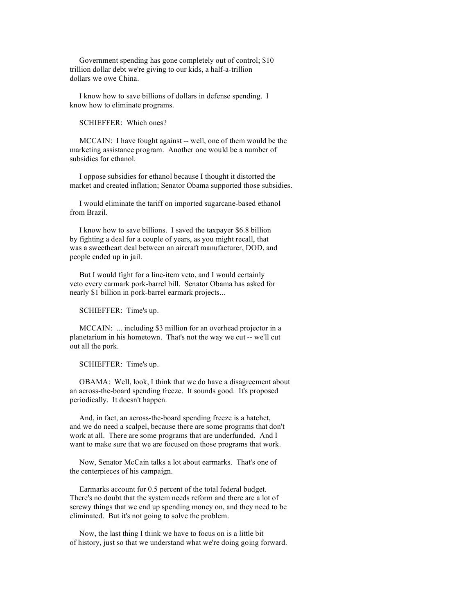Government spending has gone completely out of control; \$10 trillion dollar debt we're giving to our kids, a half-a-trillion dollars we owe China.

 I know how to save billions of dollars in defense spending. I know how to eliminate programs.

SCHIEFFER: Which ones?

 MCCAIN: I have fought against -- well, one of them would be the marketing assistance program. Another one would be a number of subsidies for ethanol.

 I oppose subsidies for ethanol because I thought it distorted the market and created inflation; Senator Obama supported those subsidies.

 I would eliminate the tariff on imported sugarcane-based ethanol from Brazil.

 I know how to save billions. I saved the taxpayer \$6.8 billion by fighting a deal for a couple of years, as you might recall, that was a sweetheart deal between an aircraft manufacturer, DOD, and people ended up in jail.

 But I would fight for a line-item veto, and I would certainly veto every earmark pork-barrel bill. Senator Obama has asked for nearly \$1 billion in pork-barrel earmark projects...

SCHIEFFER: Time's up.

 MCCAIN: ... including \$3 million for an overhead projector in a planetarium in his hometown. That's not the way we cut -- we'll cut out all the pork.

SCHIEFFER: Time's up.

 OBAMA: Well, look, I think that we do have a disagreement about an across-the-board spending freeze. It sounds good. It's proposed periodically. It doesn't happen.

 And, in fact, an across-the-board spending freeze is a hatchet, and we do need a scalpel, because there are some programs that don't work at all. There are some programs that are underfunded. And I want to make sure that we are focused on those programs that work.

 Now, Senator McCain talks a lot about earmarks. That's one of the centerpieces of his campaign.

 Earmarks account for 0.5 percent of the total federal budget. There's no doubt that the system needs reform and there are a lot of screwy things that we end up spending money on, and they need to be eliminated. But it's not going to solve the problem.

 Now, the last thing I think we have to focus on is a little bit of history, just so that we understand what we're doing going forward.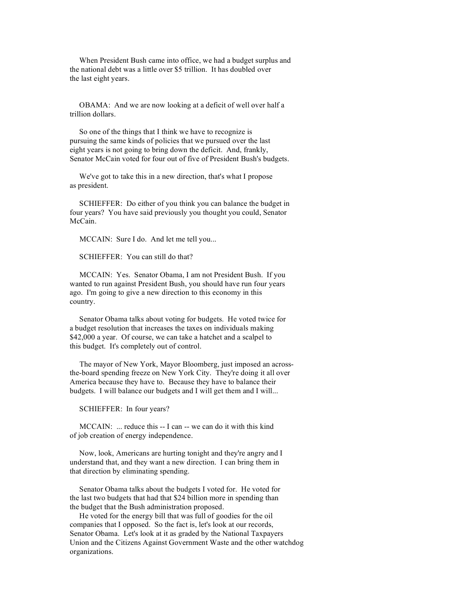When President Bush came into office, we had a budget surplus and the national debt was a little over \$5 trillion. It has doubled over the last eight years.

 OBAMA: And we are now looking at a deficit of well over half a trillion dollars.

 So one of the things that I think we have to recognize is pursuing the same kinds of policies that we pursued over the last eight years is not going to bring down the deficit. And, frankly, Senator McCain voted for four out of five of President Bush's budgets.

 We've got to take this in a new direction, that's what I propose as president.

 SCHIEFFER: Do either of you think you can balance the budget in four years? You have said previously you thought you could, Senator McCain.

MCCAIN: Sure I do. And let me tell you...

SCHIEFFER: You can still do that?

 MCCAIN: Yes. Senator Obama, I am not President Bush. If you wanted to run against President Bush, you should have run four years ago. I'm going to give a new direction to this economy in this country.

 Senator Obama talks about voting for budgets. He voted twice for a budget resolution that increases the taxes on individuals making \$42,000 a year. Of course, we can take a hatchet and a scalpel to this budget. It's completely out of control.

 The mayor of New York, Mayor Bloomberg, just imposed an acrossthe-board spending freeze on New York City. They're doing it all over America because they have to. Because they have to balance their budgets. I will balance our budgets and I will get them and I will...

SCHIEFFER: In four years?

 MCCAIN: ... reduce this -- I can -- we can do it with this kind of job creation of energy independence.

 Now, look, Americans are hurting tonight and they're angry and I understand that, and they want a new direction. I can bring them in that direction by eliminating spending.

 Senator Obama talks about the budgets I voted for. He voted for the last two budgets that had that \$24 billion more in spending than the budget that the Bush administration proposed.

 He voted for the energy bill that was full of goodies for the oil companies that I opposed. So the fact is, let's look at our records, Senator Obama. Let's look at it as graded by the National Taxpayers Union and the Citizens Against Government Waste and the other watchdog organizations.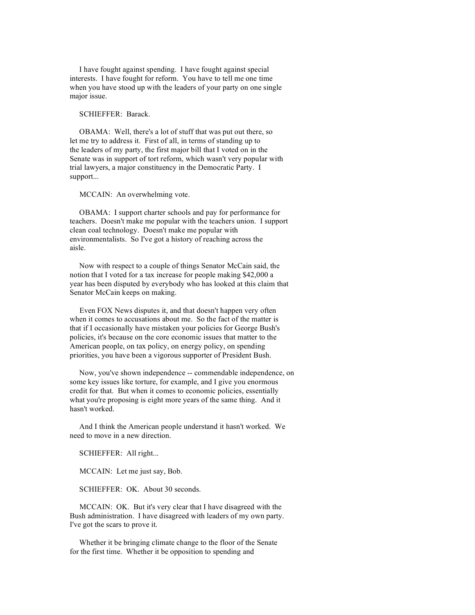I have fought against spending. I have fought against special interests. I have fought for reform. You have to tell me one time when you have stood up with the leaders of your party on one single major issue.

SCHIEFFER: Barack.

 OBAMA: Well, there's a lot of stuff that was put out there, so let me try to address it. First of all, in terms of standing up to the leaders of my party, the first major bill that I voted on in the Senate was in support of tort reform, which wasn't very popular with trial lawyers, a major constituency in the Democratic Party. I support...

MCCAIN: An overwhelming vote.

 OBAMA: I support charter schools and pay for performance for teachers. Doesn't make me popular with the teachers union. I support clean coal technology. Doesn't make me popular with environmentalists. So I've got a history of reaching across the aisle.

 Now with respect to a couple of things Senator McCain said, the notion that I voted for a tax increase for people making \$42,000 a year has been disputed by everybody who has looked at this claim that Senator McCain keeps on making.

 Even FOX News disputes it, and that doesn't happen very often when it comes to accusations about me. So the fact of the matter is that if I occasionally have mistaken your policies for George Bush's policies, it's because on the core economic issues that matter to the American people, on tax policy, on energy policy, on spending priorities, you have been a vigorous supporter of President Bush.

 Now, you've shown independence -- commendable independence, on some key issues like torture, for example, and I give you enormous credit for that. But when it comes to economic policies, essentially what you're proposing is eight more years of the same thing. And it hasn't worked.

 And I think the American people understand it hasn't worked. We need to move in a new direction.

SCHIEFFER: All right...

MCCAIN: Let me just say, Bob.

SCHIEFFER: OK. About 30 seconds.

 MCCAIN: OK. But it's very clear that I have disagreed with the Bush administration. I have disagreed with leaders of my own party. I've got the scars to prove it.

 Whether it be bringing climate change to the floor of the Senate for the first time. Whether it be opposition to spending and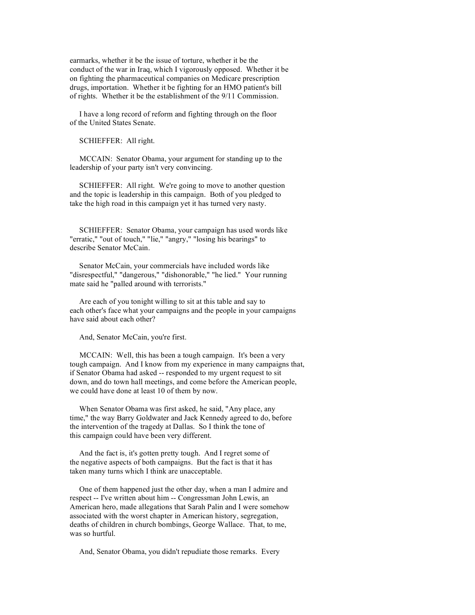earmarks, whether it be the issue of torture, whether it be the conduct of the war in Iraq, which I vigorously opposed. Whether it be on fighting the pharmaceutical companies on Medicare prescription drugs, importation. Whether it be fighting for an HMO patient's bill of rights. Whether it be the establishment of the 9/11 Commission.

 I have a long record of reform and fighting through on the floor of the United States Senate.

SCHIEFFER: All right.

 MCCAIN: Senator Obama, your argument for standing up to the leadership of your party isn't very convincing.

 SCHIEFFER: All right. We're going to move to another question and the topic is leadership in this campaign. Both of you pledged to take the high road in this campaign yet it has turned very nasty.

 SCHIEFFER: Senator Obama, your campaign has used words like "erratic," "out of touch," "lie," "angry," "losing his bearings" to describe Senator McCain.

 Senator McCain, your commercials have included words like "disrespectful," "dangerous," "dishonorable," "he lied." Your running mate said he "palled around with terrorists."

 Are each of you tonight willing to sit at this table and say to each other's face what your campaigns and the people in your campaigns have said about each other?

And, Senator McCain, you're first.

 MCCAIN: Well, this has been a tough campaign. It's been a very tough campaign. And I know from my experience in many campaigns that, if Senator Obama had asked -- responded to my urgent request to sit down, and do town hall meetings, and come before the American people, we could have done at least 10 of them by now.

 When Senator Obama was first asked, he said, "Any place, any time," the way Barry Goldwater and Jack Kennedy agreed to do, before the intervention of the tragedy at Dallas. So I think the tone of this campaign could have been very different.

 And the fact is, it's gotten pretty tough. And I regret some of the negative aspects of both campaigns. But the fact is that it has taken many turns which I think are unacceptable.

 One of them happened just the other day, when a man I admire and respect -- I've written about him -- Congressman John Lewis, an American hero, made allegations that Sarah Palin and I were somehow associated with the worst chapter in American history, segregation, deaths of children in church bombings, George Wallace. That, to me, was so hurtful.

And, Senator Obama, you didn't repudiate those remarks. Every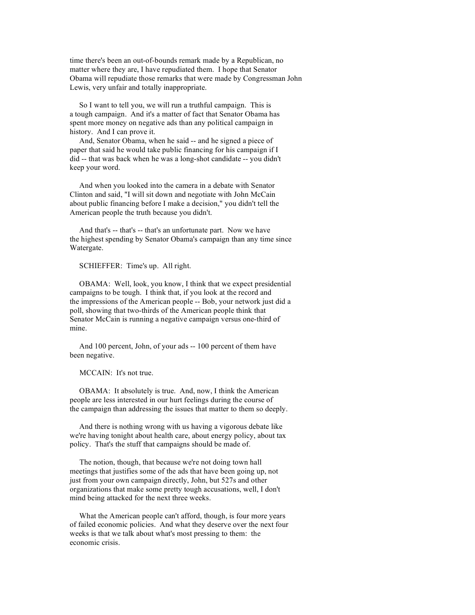time there's been an out-of-bounds remark made by a Republican, no matter where they are, I have repudiated them. I hope that Senator Obama will repudiate those remarks that were made by Congressman John Lewis, very unfair and totally inappropriate.

 So I want to tell you, we will run a truthful campaign. This is a tough campaign. And it's a matter of fact that Senator Obama has spent more money on negative ads than any political campaign in history. And I can prove it.

 And, Senator Obama, when he said -- and he signed a piece of paper that said he would take public financing for his campaign if I did -- that was back when he was a long-shot candidate -- you didn't keep your word.

 And when you looked into the camera in a debate with Senator Clinton and said, "I will sit down and negotiate with John McCain about public financing before I make a decision," you didn't tell the American people the truth because you didn't.

 And that's -- that's -- that's an unfortunate part. Now we have the highest spending by Senator Obama's campaign than any time since Watergate.

SCHIEFFER: Time's up. All right.

 OBAMA: Well, look, you know, I think that we expect presidential campaigns to be tough. I think that, if you look at the record and the impressions of the American people -- Bob, your network just did a poll, showing that two-thirds of the American people think that Senator McCain is running a negative campaign versus one-third of mine.

 And 100 percent, John, of your ads -- 100 percent of them have been negative.

MCCAIN: It's not true.

 OBAMA: It absolutely is true. And, now, I think the American people are less interested in our hurt feelings during the course of the campaign than addressing the issues that matter to them so deeply.

 And there is nothing wrong with us having a vigorous debate like we're having tonight about health care, about energy policy, about tax policy. That's the stuff that campaigns should be made of.

 The notion, though, that because we're not doing town hall meetings that justifies some of the ads that have been going up, not just from your own campaign directly, John, but 527s and other organizations that make some pretty tough accusations, well, I don't mind being attacked for the next three weeks.

 What the American people can't afford, though, is four more years of failed economic policies. And what they deserve over the next four weeks is that we talk about what's most pressing to them: the economic crisis.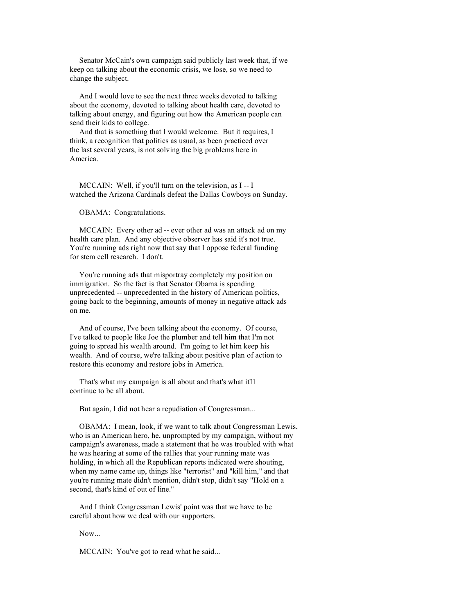Senator McCain's own campaign said publicly last week that, if we keep on talking about the economic crisis, we lose, so we need to change the subject.

 And I would love to see the next three weeks devoted to talking about the economy, devoted to talking about health care, devoted to talking about energy, and figuring out how the American people can send their kids to college.

 And that is something that I would welcome. But it requires, I think, a recognition that politics as usual, as been practiced over the last several years, is not solving the big problems here in America.

 MCCAIN: Well, if you'll turn on the television, as I -- I watched the Arizona Cardinals defeat the Dallas Cowboys on Sunday.

OBAMA: Congratulations.

MCCAIN: Every other ad -- ever other ad was an attack ad on my health care plan. And any objective observer has said it's not true. You're running ads right now that say that I oppose federal funding for stem cell research. I don't.

 You're running ads that misportray completely my position on immigration. So the fact is that Senator Obama is spending unprecedented -- unprecedented in the history of American politics, going back to the beginning, amounts of money in negative attack ads on me.

 And of course, I've been talking about the economy. Of course, I've talked to people like Joe the plumber and tell him that I'm not going to spread his wealth around. I'm going to let him keep his wealth. And of course, we're talking about positive plan of action to restore this economy and restore jobs in America.

 That's what my campaign is all about and that's what it'll continue to be all about.

But again, I did not hear a repudiation of Congressman...

 OBAMA: I mean, look, if we want to talk about Congressman Lewis, who is an American hero, he, unprompted by my campaign, without my campaign's awareness, made a statement that he was troubled with what he was hearing at some of the rallies that your running mate was holding, in which all the Republican reports indicated were shouting, when my name came up, things like "terrorist" and "kill him," and that you're running mate didn't mention, didn't stop, didn't say "Hold on a second, that's kind of out of line."

 And I think Congressman Lewis' point was that we have to be careful about how we deal with our supporters.

Now...

MCCAIN: You've got to read what he said...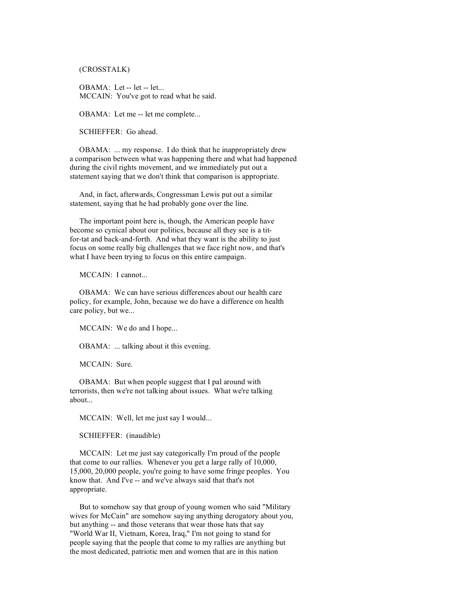(CROSSTALK)

OBAMA: Let -- let -- let... MCCAIN: You've got to read what he said.

OBAMA: Let me -- let me complete...

SCHIEFFER: Go ahead.

 OBAMA: ... my response. I do think that he inappropriately drew a comparison between what was happening there and what had happened during the civil rights movement, and we immediately put out a statement saying that we don't think that comparison is appropriate.

 And, in fact, afterwards, Congressman Lewis put out a similar statement, saying that he had probably gone over the line.

 The important point here is, though, the American people have become so cynical about our politics, because all they see is a titfor-tat and back-and-forth. And what they want is the ability to just focus on some really big challenges that we face right now, and that's what I have been trying to focus on this entire campaign.

MCCAIN: I cannot...

 OBAMA: We can have serious differences about our health care policy, for example, John, because we do have a difference on health care policy, but we...

MCCAIN: We do and I hope...

OBAMA: ... talking about it this evening.

MCCAIN: Sure.

 OBAMA: But when people suggest that I pal around with terrorists, then we're not talking about issues. What we're talking about...

MCCAIN: Well, let me just say I would...

SCHIEFFER: (inaudible)

 MCCAIN: Let me just say categorically I'm proud of the people that come to our rallies. Whenever you get a large rally of 10,000, 15,000, 20,000 people, you're going to have some fringe peoples. You know that. And I've -- and we've always said that that's not appropriate.

 But to somehow say that group of young women who said "Military wives for McCain" are somehow saying anything derogatory about you, but anything -- and those veterans that wear those hats that say "World War II, Vietnam, Korea, Iraq," I'm not going to stand for people saying that the people that come to my rallies are anything but the most dedicated, patriotic men and women that are in this nation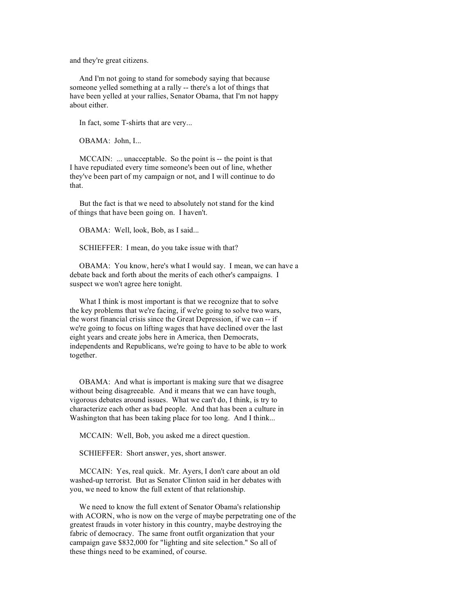and they're great citizens.

 And I'm not going to stand for somebody saying that because someone yelled something at a rally -- there's a lot of things that have been yelled at your rallies, Senator Obama, that I'm not happy about either.

In fact, some T-shirts that are very...

OBAMA: John, I...

MCCAIN: ... unacceptable. So the point is -- the point is that I have repudiated every time someone's been out of line, whether they've been part of my campaign or not, and I will continue to do that.

 But the fact is that we need to absolutely not stand for the kind of things that have been going on. I haven't.

OBAMA: Well, look, Bob, as I said...

SCHIEFFER: I mean, do you take issue with that?

 OBAMA: You know, here's what I would say. I mean, we can have a debate back and forth about the merits of each other's campaigns. I suspect we won't agree here tonight.

What I think is most important is that we recognize that to solve the key problems that we're facing, if we're going to solve two wars, the worst financial crisis since the Great Depression, if we can -- if we're going to focus on lifting wages that have declined over the last eight years and create jobs here in America, then Democrats, independents and Republicans, we're going to have to be able to work together.

 OBAMA: And what is important is making sure that we disagree without being disagreeable. And it means that we can have tough, vigorous debates around issues. What we can't do, I think, is try to characterize each other as bad people. And that has been a culture in Washington that has been taking place for too long. And I think...

MCCAIN: Well, Bob, you asked me a direct question.

SCHIEFFER: Short answer, yes, short answer.

 MCCAIN: Yes, real quick. Mr. Ayers, I don't care about an old washed-up terrorist. But as Senator Clinton said in her debates with you, we need to know the full extent of that relationship.

 We need to know the full extent of Senator Obama's relationship with ACORN, who is now on the verge of maybe perpetrating one of the greatest frauds in voter history in this country, maybe destroying the fabric of democracy. The same front outfit organization that your campaign gave \$832,000 for "lighting and site selection." So all of these things need to be examined, of course.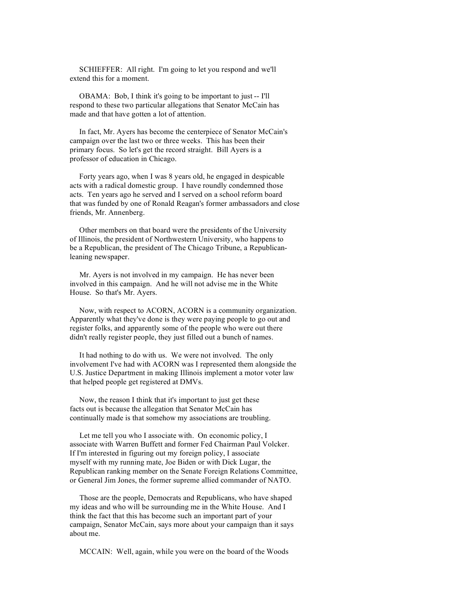SCHIEFFER: All right. I'm going to let you respond and we'll extend this for a moment.

 OBAMA: Bob, I think it's going to be important to just -- I'll respond to these two particular allegations that Senator McCain has made and that have gotten a lot of attention.

 In fact, Mr. Ayers has become the centerpiece of Senator McCain's campaign over the last two or three weeks. This has been their primary focus. So let's get the record straight. Bill Ayers is a professor of education in Chicago.

 Forty years ago, when I was 8 years old, he engaged in despicable acts with a radical domestic group. I have roundly condemned those acts. Ten years ago he served and I served on a school reform board that was funded by one of Ronald Reagan's former ambassadors and close friends, Mr. Annenberg.

 Other members on that board were the presidents of the University of Illinois, the president of Northwestern University, who happens to be a Republican, the president of The Chicago Tribune, a Republicanleaning newspaper.

 Mr. Ayers is not involved in my campaign. He has never been involved in this campaign. And he will not advise me in the White House. So that's Mr. Ayers.

 Now, with respect to ACORN, ACORN is a community organization. Apparently what they've done is they were paying people to go out and register folks, and apparently some of the people who were out there didn't really register people, they just filled out a bunch of names.

 It had nothing to do with us. We were not involved. The only involvement I've had with ACORN was I represented them alongside the U.S. Justice Department in making Illinois implement a motor voter law that helped people get registered at DMVs.

 Now, the reason I think that it's important to just get these facts out is because the allegation that Senator McCain has continually made is that somehow my associations are troubling.

 Let me tell you who I associate with. On economic policy, I associate with Warren Buffett and former Fed Chairman Paul Volcker. If I'm interested in figuring out my foreign policy, I associate myself with my running mate, Joe Biden or with Dick Lugar, the Republican ranking member on the Senate Foreign Relations Committee, or General Jim Jones, the former supreme allied commander of NATO.

 Those are the people, Democrats and Republicans, who have shaped my ideas and who will be surrounding me in the White House. And I think the fact that this has become such an important part of your campaign, Senator McCain, says more about your campaign than it says about me.

MCCAIN: Well, again, while you were on the board of the Woods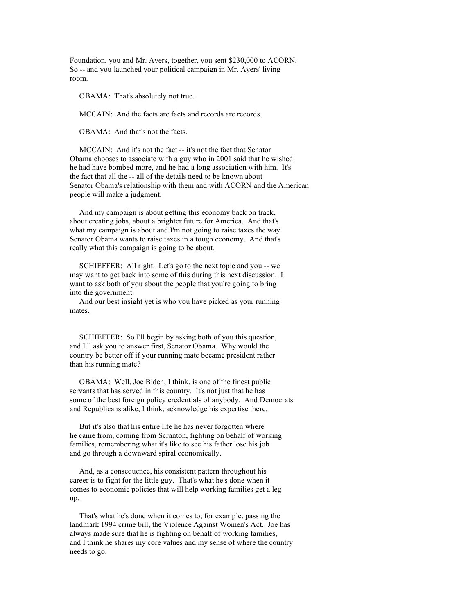Foundation, you and Mr. Ayers, together, you sent \$230,000 to ACORN. So -- and you launched your political campaign in Mr. Ayers' living room.

OBAMA: That's absolutely not true.

MCCAIN: And the facts are facts and records are records.

OBAMA: And that's not the facts.

 MCCAIN: And it's not the fact -- it's not the fact that Senator Obama chooses to associate with a guy who in 2001 said that he wished he had have bombed more, and he had a long association with him. It's the fact that all the -- all of the details need to be known about Senator Obama's relationship with them and with ACORN and the American people will make a judgment.

 And my campaign is about getting this economy back on track, about creating jobs, about a brighter future for America. And that's what my campaign is about and I'm not going to raise taxes the way Senator Obama wants to raise taxes in a tough economy. And that's really what this campaign is going to be about.

 SCHIEFFER: All right. Let's go to the next topic and you -- we may want to get back into some of this during this next discussion. I want to ask both of you about the people that you're going to bring into the government.

 And our best insight yet is who you have picked as your running mates.

 SCHIEFFER: So I'll begin by asking both of you this question, and I'll ask you to answer first, Senator Obama. Why would the country be better off if your running mate became president rather than his running mate?

 OBAMA: Well, Joe Biden, I think, is one of the finest public servants that has served in this country. It's not just that he has some of the best foreign policy credentials of anybody. And Democrats and Republicans alike, I think, acknowledge his expertise there.

 But it's also that his entire life he has never forgotten where he came from, coming from Scranton, fighting on behalf of working families, remembering what it's like to see his father lose his job and go through a downward spiral economically.

 And, as a consequence, his consistent pattern throughout his career is to fight for the little guy. That's what he's done when it comes to economic policies that will help working families get a leg up.

 That's what he's done when it comes to, for example, passing the landmark 1994 crime bill, the Violence Against Women's Act. Joe has always made sure that he is fighting on behalf of working families, and I think he shares my core values and my sense of where the country needs to go.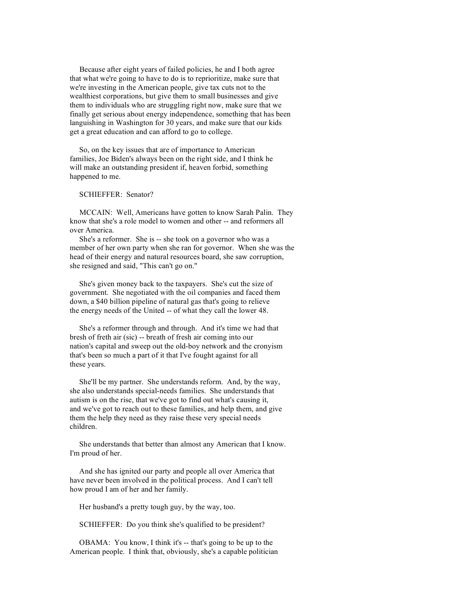Because after eight years of failed policies, he and I both agree that what we're going to have to do is to reprioritize, make sure that we're investing in the American people, give tax cuts not to the wealthiest corporations, but give them to small businesses and give them to individuals who are struggling right now, make sure that we finally get serious about energy independence, something that has been languishing in Washington for 30 years, and make sure that our kids get a great education and can afford to go to college.

 So, on the key issues that are of importance to American families, Joe Biden's always been on the right side, and I think he will make an outstanding president if, heaven forbid, something happened to me.

#### SCHIEFFER: Senator?

 MCCAIN: Well, Americans have gotten to know Sarah Palin. They know that she's a role model to women and other -- and reformers all over America.

 She's a reformer. She is -- she took on a governor who was a member of her own party when she ran for governor. When she was the head of their energy and natural resources board, she saw corruption, she resigned and said, "This can't go on."

 She's given money back to the taxpayers. She's cut the size of government. She negotiated with the oil companies and faced them down, a \$40 billion pipeline of natural gas that's going to relieve the energy needs of the United -- of what they call the lower 48.

 She's a reformer through and through. And it's time we had that bresh of freth air (sic) -- breath of fresh air coming into our nation's capital and sweep out the old-boy network and the cronyism that's been so much a part of it that I've fought against for all these years.

 She'll be my partner. She understands reform. And, by the way, she also understands special-needs families. She understands that autism is on the rise, that we've got to find out what's causing it, and we've got to reach out to these families, and help them, and give them the help they need as they raise these very special needs children.

 She understands that better than almost any American that I know. I'm proud of her.

 And she has ignited our party and people all over America that have never been involved in the political process. And I can't tell how proud I am of her and her family.

Her husband's a pretty tough guy, by the way, too.

SCHIEFFER: Do you think she's qualified to be president?

 OBAMA: You know, I think it's -- that's going to be up to the American people. I think that, obviously, she's a capable politician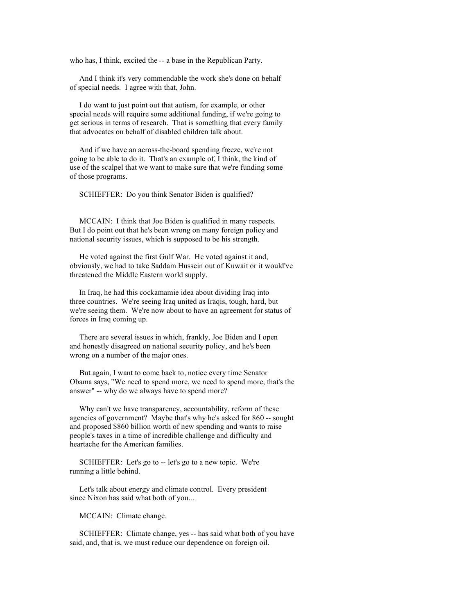who has, I think, excited the -- a base in the Republican Party.

 And I think it's very commendable the work she's done on behalf of special needs. I agree with that, John.

 I do want to just point out that autism, for example, or other special needs will require some additional funding, if we're going to get serious in terms of research. That is something that every family that advocates on behalf of disabled children talk about.

 And if we have an across-the-board spending freeze, we're not going to be able to do it. That's an example of, I think, the kind of use of the scalpel that we want to make sure that we're funding some of those programs.

SCHIEFFER: Do you think Senator Biden is qualified?

 MCCAIN: I think that Joe Biden is qualified in many respects. But I do point out that he's been wrong on many foreign policy and national security issues, which is supposed to be his strength.

 He voted against the first Gulf War. He voted against it and, obviously, we had to take Saddam Hussein out of Kuwait or it would've threatened the Middle Eastern world supply.

 In Iraq, he had this cockamamie idea about dividing Iraq into three countries. We're seeing Iraq united as Iraqis, tough, hard, but we're seeing them. We're now about to have an agreement for status of forces in Iraq coming up.

 There are several issues in which, frankly, Joe Biden and I open and honestly disagreed on national security policy, and he's been wrong on a number of the major ones.

 But again, I want to come back to, notice every time Senator Obama says, "We need to spend more, we need to spend more, that's the answer" -- why do we always have to spend more?

 Why can't we have transparency, accountability, reform of these agencies of government? Maybe that's why he's asked for 860 -- sought and proposed \$860 billion worth of new spending and wants to raise people's taxes in a time of incredible challenge and difficulty and heartache for the American families.

 SCHIEFFER: Let's go to -- let's go to a new topic. We're running a little behind.

 Let's talk about energy and climate control. Every president since Nixon has said what both of you...

MCCAIN: Climate change.

 SCHIEFFER: Climate change, yes -- has said what both of you have said, and, that is, we must reduce our dependence on foreign oil.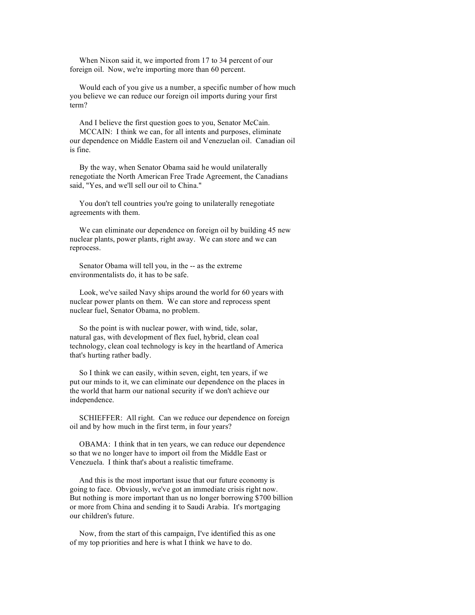When Nixon said it, we imported from 17 to 34 percent of our foreign oil. Now, we're importing more than 60 percent.

 Would each of you give us a number, a specific number of how much you believe we can reduce our foreign oil imports during your first term?

 And I believe the first question goes to you, Senator McCain. MCCAIN: I think we can, for all intents and purposes, eliminate our dependence on Middle Eastern oil and Venezuelan oil. Canadian oil is fine.

 By the way, when Senator Obama said he would unilaterally renegotiate the North American Free Trade Agreement, the Canadians said, "Yes, and we'll sell our oil to China."

 You don't tell countries you're going to unilaterally renegotiate agreements with them.

 We can eliminate our dependence on foreign oil by building 45 new nuclear plants, power plants, right away. We can store and we can reprocess.

 Senator Obama will tell you, in the -- as the extreme environmentalists do, it has to be safe.

 Look, we've sailed Navy ships around the world for 60 years with nuclear power plants on them. We can store and reprocess spent nuclear fuel, Senator Obama, no problem.

 So the point is with nuclear power, with wind, tide, solar, natural gas, with development of flex fuel, hybrid, clean coal technology, clean coal technology is key in the heartland of America that's hurting rather badly.

 So I think we can easily, within seven, eight, ten years, if we put our minds to it, we can eliminate our dependence on the places in the world that harm our national security if we don't achieve our independence.

 SCHIEFFER: All right. Can we reduce our dependence on foreign oil and by how much in the first term, in four years?

 OBAMA: I think that in ten years, we can reduce our dependence so that we no longer have to import oil from the Middle East or Venezuela. I think that's about a realistic timeframe.

 And this is the most important issue that our future economy is going to face. Obviously, we've got an immediate crisis right now. But nothing is more important than us no longer borrowing \$700 billion or more from China and sending it to Saudi Arabia. It's mortgaging our children's future.

 Now, from the start of this campaign, I've identified this as one of my top priorities and here is what I think we have to do.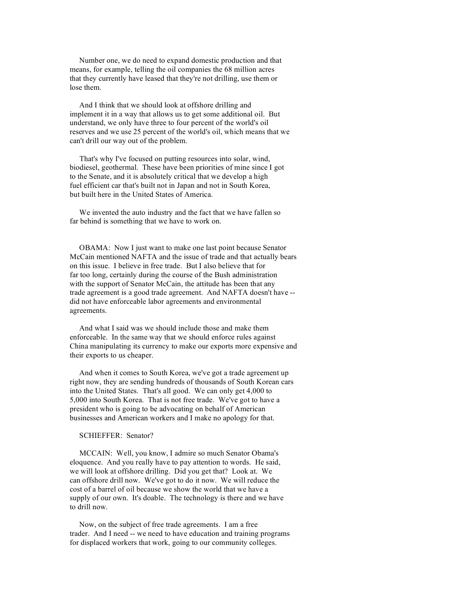Number one, we do need to expand domestic production and that means, for example, telling the oil companies the 68 million acres that they currently have leased that they're not drilling, use them or lose them.

 And I think that we should look at offshore drilling and implement it in a way that allows us to get some additional oil. But understand, we only have three to four percent of the world's oil reserves and we use 25 percent of the world's oil, which means that we can't drill our way out of the problem.

 That's why I've focused on putting resources into solar, wind, biodiesel, geothermal. These have been priorities of mine since I got to the Senate, and it is absolutely critical that we develop a high fuel efficient car that's built not in Japan and not in South Korea, but built here in the United States of America.

 We invented the auto industry and the fact that we have fallen so far behind is something that we have to work on.

 OBAMA: Now I just want to make one last point because Senator McCain mentioned NAFTA and the issue of trade and that actually bears on this issue. I believe in free trade. But I also believe that for far too long, certainly during the course of the Bush administration with the support of Senator McCain, the attitude has been that any trade agreement is a good trade agreement. And NAFTA doesn't have - did not have enforceable labor agreements and environmental agreements.

 And what I said was we should include those and make them enforceable. In the same way that we should enforce rules against China manipulating its currency to make our exports more expensive and their exports to us cheaper.

 And when it comes to South Korea, we've got a trade agreement up right now, they are sending hundreds of thousands of South Korean cars into the United States. That's all good. We can only get 4,000 to 5,000 into South Korea. That is not free trade. We've got to have a president who is going to be advocating on behalf of American businesses and American workers and I make no apology for that.

## SCHIEFFER: Senator?

 MCCAIN: Well, you know, I admire so much Senator Obama's eloquence. And you really have to pay attention to words. He said, we will look at offshore drilling. Did you get that? Look at. We can offshore drill now. We've got to do it now. We will reduce the cost of a barrel of oil because we show the world that we have a supply of our own. It's doable. The technology is there and we have to drill now.

 Now, on the subject of free trade agreements. I am a free trader. And I need -- we need to have education and training programs for displaced workers that work, going to our community colleges.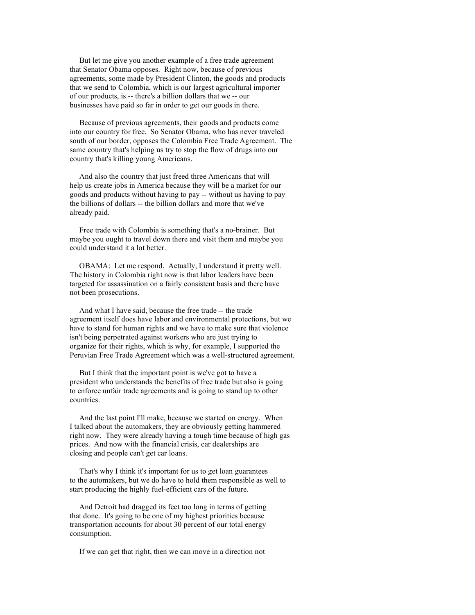But let me give you another example of a free trade agreement that Senator Obama opposes. Right now, because of previous agreements, some made by President Clinton, the goods and products that we send to Colombia, which is our largest agricultural importer of our products, is -- there's a billion dollars that we -- our businesses have paid so far in order to get our goods in there.

 Because of previous agreements, their goods and products come into our country for free. So Senator Obama, who has never traveled south of our border, opposes the Colombia Free Trade Agreement. The same country that's helping us try to stop the flow of drugs into our country that's killing young Americans.

 And also the country that just freed three Americans that will help us create jobs in America because they will be a market for our goods and products without having to pay -- without us having to pay the billions of dollars -- the billion dollars and more that we've already paid.

 Free trade with Colombia is something that's a no-brainer. But maybe you ought to travel down there and visit them and maybe you could understand it a lot better.

 OBAMA: Let me respond. Actually, I understand it pretty well. The history in Colombia right now is that labor leaders have been targeted for assassination on a fairly consistent basis and there have not been prosecutions.

 And what I have said, because the free trade -- the trade agreement itself does have labor and environmental protections, but we have to stand for human rights and we have to make sure that violence isn't being perpetrated against workers who are just trying to organize for their rights, which is why, for example, I supported the Peruvian Free Trade Agreement which was a well-structured agreement.

 But I think that the important point is we've got to have a president who understands the benefits of free trade but also is going to enforce unfair trade agreements and is going to stand up to other countries.

 And the last point I'll make, because we started on energy. When I talked about the automakers, they are obviously getting hammered right now. They were already having a tough time because of high gas prices. And now with the financial crisis, car dealerships are closing and people can't get car loans.

 That's why I think it's important for us to get loan guarantees to the automakers, but we do have to hold them responsible as well to start producing the highly fuel-efficient cars of the future.

 And Detroit had dragged its feet too long in terms of getting that done. It's going to be one of my highest priorities because transportation accounts for about 30 percent of our total energy consumption.

If we can get that right, then we can move in a direction not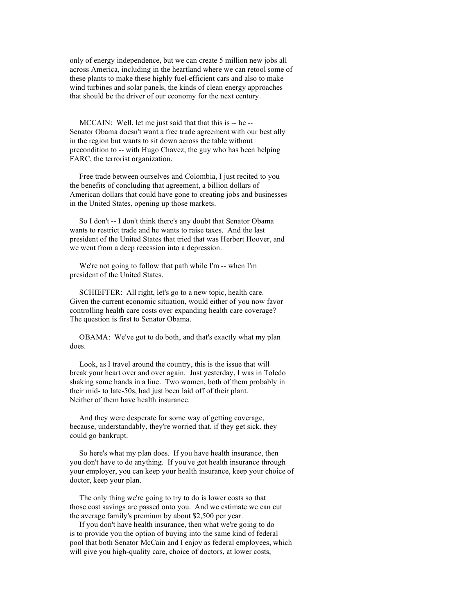only of energy independence, but we can create 5 million new jobs all across America, including in the heartland where we can retool some of these plants to make these highly fuel-efficient cars and also to make wind turbines and solar panels, the kinds of clean energy approaches that should be the driver of our economy for the next century.

MCCAIN: Well, let me just said that that this is -- he --Senator Obama doesn't want a free trade agreement with our best ally in the region but wants to sit down across the table without precondition to -- with Hugo Chavez, the guy who has been helping FARC, the terrorist organization.

 Free trade between ourselves and Colombia, I just recited to you the benefits of concluding that agreement, a billion dollars of American dollars that could have gone to creating jobs and businesses in the United States, opening up those markets.

 So I don't -- I don't think there's any doubt that Senator Obama wants to restrict trade and he wants to raise taxes. And the last president of the United States that tried that was Herbert Hoover, and we went from a deep recession into a depression.

 We're not going to follow that path while I'm -- when I'm president of the United States.

 SCHIEFFER: All right, let's go to a new topic, health care. Given the current economic situation, would either of you now favor controlling health care costs over expanding health care coverage? The question is first to Senator Obama.

 OBAMA: We've got to do both, and that's exactly what my plan does.

 Look, as I travel around the country, this is the issue that will break your heart over and over again. Just yesterday, I was in Toledo shaking some hands in a line. Two women, both of them probably in their mid- to late-50s, had just been laid off of their plant. Neither of them have health insurance.

 And they were desperate for some way of getting coverage, because, understandably, they're worried that, if they get sick, they could go bankrupt.

 So here's what my plan does. If you have health insurance, then you don't have to do anything. If you've got health insurance through your employer, you can keep your health insurance, keep your choice of doctor, keep your plan.

 The only thing we're going to try to do is lower costs so that those cost savings are passed onto you. And we estimate we can cut the average family's premium by about \$2,500 per year.

 If you don't have health insurance, then what we're going to do is to provide you the option of buying into the same kind of federal pool that both Senator McCain and I enjoy as federal employees, which will give you high-quality care, choice of doctors, at lower costs,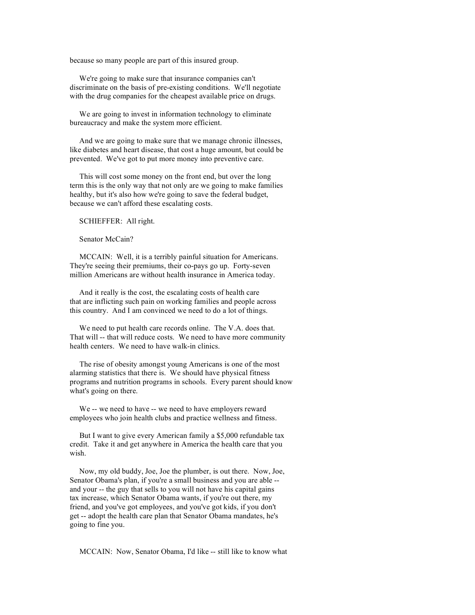because so many people are part of this insured group.

 We're going to make sure that insurance companies can't discriminate on the basis of pre-existing conditions. We'll negotiate with the drug companies for the cheapest available price on drugs.

We are going to invest in information technology to eliminate bureaucracy and make the system more efficient.

 And we are going to make sure that we manage chronic illnesses, like diabetes and heart disease, that cost a huge amount, but could be prevented. We've got to put more money into preventive care.

 This will cost some money on the front end, but over the long term this is the only way that not only are we going to make families healthy, but it's also how we're going to save the federal budget, because we can't afford these escalating costs.

SCHIEFFER: All right.

Senator McCain?

 MCCAIN: Well, it is a terribly painful situation for Americans. They're seeing their premiums, their co-pays go up. Forty-seven million Americans are without health insurance in America today.

 And it really is the cost, the escalating costs of health care that are inflicting such pain on working families and people across this country. And I am convinced we need to do a lot of things.

We need to put health care records online. The V.A. does that. That will -- that will reduce costs. We need to have more community health centers. We need to have walk-in clinics.

 The rise of obesity amongst young Americans is one of the most alarming statistics that there is. We should have physical fitness programs and nutrition programs in schools. Every parent should know what's going on there.

We -- we need to have -- we need to have employers reward employees who join health clubs and practice wellness and fitness.

 But I want to give every American family a \$5,000 refundable tax credit. Take it and get anywhere in America the health care that you wish.

 Now, my old buddy, Joe, Joe the plumber, is out there. Now, Joe, Senator Obama's plan, if you're a small business and you are able - and your -- the guy that sells to you will not have his capital gains tax increase, which Senator Obama wants, if you're out there, my friend, and you've got employees, and you've got kids, if you don't get -- adopt the health care plan that Senator Obama mandates, he's going to fine you.

MCCAIN: Now, Senator Obama, I'd like -- still like to know what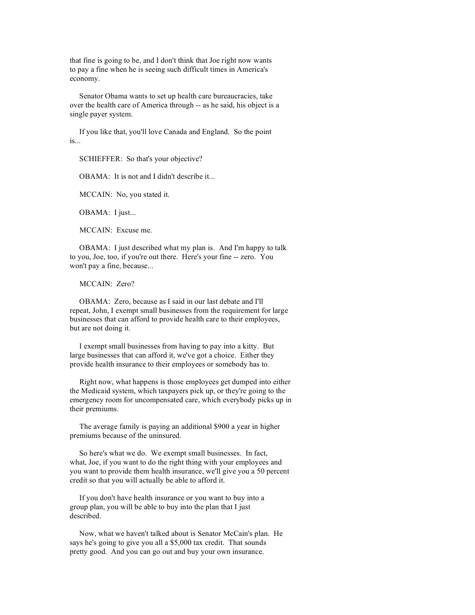that fine is going to be, and I don't think that Joe right now wants to pay a fine when he is seeing such difficult times in America's economy.

 Senator Obama wants to set up health care bureaucracies, take over the health care of America through -- as he said, his object is a single payer system.

 If you like that, you'll love Canada and England. So the point is...

SCHIEFFER: So that's your objective?

OBAMA: It is not and I didn't describe it...

MCCAIN: No, you stated it.

OBAMA: I just...

MCCAIN: Excuse me.

 OBAMA: I just described what my plan is. And I'm happy to talk to you, Joe, too, if you're out there. Here's your fine -- zero. You won't pay a fine, because...

MCCAIN: Zero?

 OBAMA: Zero, because as I said in our last debate and I'll repeat, John, I exempt small businesses from the requirement for large businesses that can afford to provide health care to their employees, but are not doing it.

 I exempt small businesses from having to pay into a kitty. But large businesses that can afford it, we've got a choice. Either they provide health insurance to their employees or somebody has to.

 Right now, what happens is those employees get dumped into either the Medicaid system, which taxpayers pick up, or they're going to the emergency room for uncompensated care, which everybody picks up in their premiums.

 The average family is paying an additional \$900 a year in higher premiums because of the uninsured.

 So here's what we do. We exempt small businesses. In fact, what, Joe, if you want to do the right thing with your employees and you want to provide them health insurance, we'll give you a 50 percent credit so that you will actually be able to afford it.

 If you don't have health insurance or you want to buy into a group plan, you will be able to buy into the plan that I just described.

 Now, what we haven't talked about is Senator McCain's plan. He says he's going to give you all a \$5,000 tax credit. That sounds pretty good. And you can go out and buy your own insurance.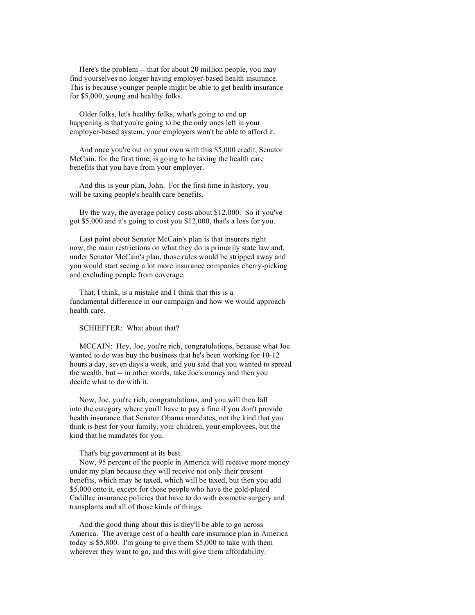Here's the problem -- that for about 20 million people, you may find yourselves no longer having employer-based health insurance. This is because younger people might be able to get health insurance for \$5,000, young and healthy folks.

 Older folks, let's healthy folks, what's going to end up happening is that you're going to be the only ones left in your employer-based system, your employers won't be able to afford it.

 And once you're out on your own with this \$5,000 credit, Senator McCain, for the first time, is going to be taxing the health care benefits that you have from your employer.

 And this is your plan, John. For the first time in history, you will be taxing people's health care benefits.

 By the way, the average policy costs about \$12,000. So if you've got \$5,000 and it's going to cost you \$12,000, that's a loss for you.

 Last point about Senator McCain's plan is that insurers right now, the main restrictions on what they do is primarily state law and, under Senator McCain's plan, those rules would be stripped away and you would start seeing a lot more insurance companies cherry-picking and excluding people from coverage.

 That, I think, is a mistake and I think that this is a fundamental difference in our campaign and how we would approach health care.

## SCHIEFFER: What about that?

 MCCAIN: Hey, Joe, you're rich, congratulations, because what Joe wanted to do was buy the business that he's been working for 10-12 hours a day, seven days a week, and you said that you wanted to spread the wealth, but -- in other words, take Joe's money and then you decide what to do with it.

 Now, Joe, you're rich, congratulations, and you will then fall into the category where you'll have to pay a fine if you don't provide health insurance that Senator Obama mandates, not the kind that you think is best for your family, your children, your employees, but the kind that he mandates for you.

That's big government at its best.

 Now, 95 percent of the people in America will receive more money under my plan because they will receive not only their present benefits, which may be taxed, which will be taxed, but then you add \$5,000 onto it, except for those people who have the gold-plated Cadillac insurance policies that have to do with cosmetic surgery and transplants and all of those kinds of things.

 And the good thing about this is they'll be able to go across America. The average cost of a health care insurance plan in America today is \$5,800. I'm going to give them \$5,000 to take with them wherever they want to go, and this will give them affordability.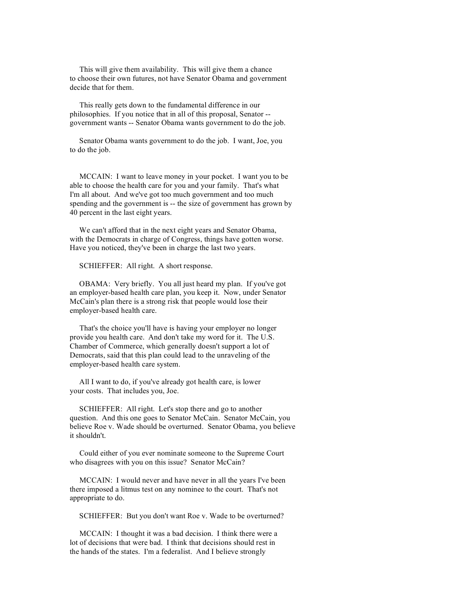This will give them availability. This will give them a chance to choose their own futures, not have Senator Obama and government decide that for them.

 This really gets down to the fundamental difference in our philosophies. If you notice that in all of this proposal, Senator - government wants -- Senator Obama wants government to do the job.

 Senator Obama wants government to do the job. I want, Joe, you to do the job.

 MCCAIN: I want to leave money in your pocket. I want you to be able to choose the health care for you and your family. That's what I'm all about. And we've got too much government and too much spending and the government is -- the size of government has grown by 40 percent in the last eight years.

 We can't afford that in the next eight years and Senator Obama, with the Democrats in charge of Congress, things have gotten worse. Have you noticed, they've been in charge the last two years.

SCHIEFFER: All right. A short response.

 OBAMA: Very briefly. You all just heard my plan. If you've got an employer-based health care plan, you keep it. Now, under Senator McCain's plan there is a strong risk that people would lose their employer-based health care.

 That's the choice you'll have is having your employer no longer provide you health care. And don't take my word for it. The U.S. Chamber of Commerce, which generally doesn't support a lot of Democrats, said that this plan could lead to the unraveling of the employer-based health care system.

 All I want to do, if you've already got health care, is lower your costs. That includes you, Joe.

 SCHIEFFER: All right. Let's stop there and go to another question. And this one goes to Senator McCain. Senator McCain, you believe Roe v. Wade should be overturned. Senator Obama, you believe it shouldn't.

 Could either of you ever nominate someone to the Supreme Court who disagrees with you on this issue? Senator McCain?

 MCCAIN: I would never and have never in all the years I've been there imposed a litmus test on any nominee to the court. That's not appropriate to do.

SCHIEFFER: But you don't want Roe v. Wade to be overturned?

 MCCAIN: I thought it was a bad decision. I think there were a lot of decisions that were bad. I think that decisions should rest in the hands of the states. I'm a federalist. And I believe strongly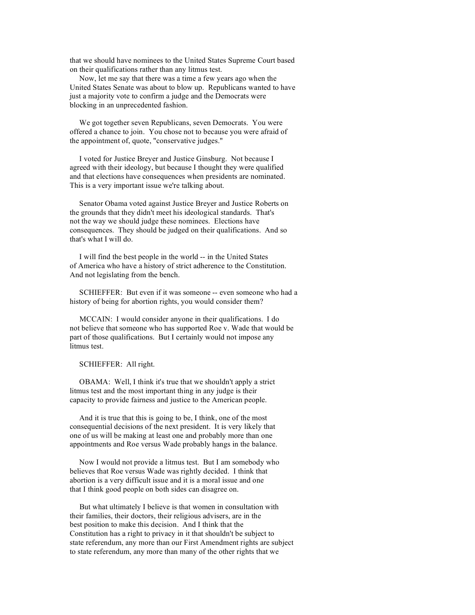that we should have nominees to the United States Supreme Court based on their qualifications rather than any litmus test.

 Now, let me say that there was a time a few years ago when the United States Senate was about to blow up. Republicans wanted to have just a majority vote to confirm a judge and the Democrats were blocking in an unprecedented fashion.

 We got together seven Republicans, seven Democrats. You were offered a chance to join. You chose not to because you were afraid of the appointment of, quote, "conservative judges."

 I voted for Justice Breyer and Justice Ginsburg. Not because I agreed with their ideology, but because I thought they were qualified and that elections have consequences when presidents are nominated. This is a very important issue we're talking about.

 Senator Obama voted against Justice Breyer and Justice Roberts on the grounds that they didn't meet his ideological standards. That's not the way we should judge these nominees. Elections have consequences. They should be judged on their qualifications. And so that's what I will do.

 I will find the best people in the world -- in the United States of America who have a history of strict adherence to the Constitution. And not legislating from the bench.

 SCHIEFFER: But even if it was someone -- even someone who had a history of being for abortion rights, you would consider them?

 MCCAIN: I would consider anyone in their qualifications. I do not believe that someone who has supported Roe v. Wade that would be part of those qualifications. But I certainly would not impose any litmus test.

SCHIEFFER: All right.

 OBAMA: Well, I think it's true that we shouldn't apply a strict litmus test and the most important thing in any judge is their capacity to provide fairness and justice to the American people.

 And it is true that this is going to be, I think, one of the most consequential decisions of the next president. It is very likely that one of us will be making at least one and probably more than one appointments and Roe versus Wade probably hangs in the balance.

 Now I would not provide a litmus test. But I am somebody who believes that Roe versus Wade was rightly decided. I think that abortion is a very difficult issue and it is a moral issue and one that I think good people on both sides can disagree on.

 But what ultimately I believe is that women in consultation with their families, their doctors, their religious advisers, are in the best position to make this decision. And I think that the Constitution has a right to privacy in it that shouldn't be subject to state referendum, any more than our First Amendment rights are subject to state referendum, any more than many of the other rights that we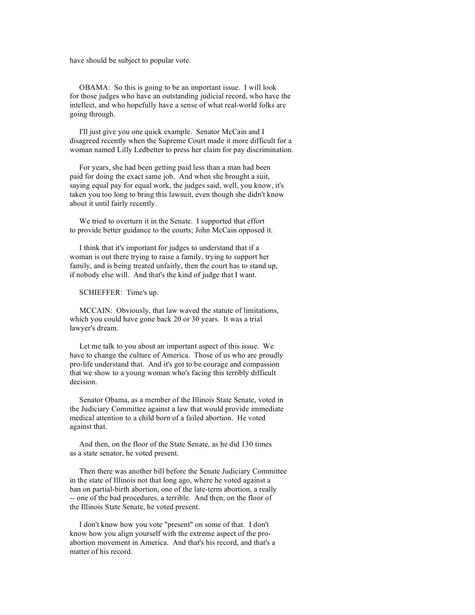have should be subject to popular vote.

 OBAMA: So this is going to be an important issue. I will look for those judges who have an outstanding judicial record, who have the intellect, and who hopefully have a sense of what real-world folks are going through.

 I'll just give you one quick example. Senator McCain and I disagreed recently when the Supreme Court made it more difficult for a woman named Lilly Ledbetter to press her claim for pay discrimination.

 For years, she had been getting paid less than a man had been paid for doing the exact same job. And when she brought a suit, saying equal pay for equal work, the judges said, well, you know, it's taken you too long to bring this lawsuit, even though she didn't know about it until fairly recently.

 We tried to overturn it in the Senate. I supported that effort to provide better guidance to the courts; John McCain opposed it.

 I think that it's important for judges to understand that if a woman is out there trying to raise a family, trying to support her family, and is being treated unfairly, then the court has to stand up, if nobody else will. And that's the kind of judge that I want.

## SCHIEFFER: Time's up.

 MCCAIN: Obviously, that law waved the statute of limitations, which you could have gone back 20 or 30 years. It was a trial lawyer's dream.

 Let me talk to you about an important aspect of this issue. We have to change the culture of America. Those of us who are proudly pro-life understand that. And it's got to be courage and compassion that we show to a young woman who's facing this terribly difficult decision.

 Senator Obama, as a member of the Illinois State Senate, voted in the Judiciary Committee against a law that would provide immediate medical attention to a child born of a failed abortion. He voted against that.

 And then, on the floor of the State Senate, as he did 130 times as a state senator, he voted present.

 Then there was another bill before the Senate Judiciary Committee in the state of Illinois not that long ago, where he voted against a ban on partial-birth abortion, one of the late-term abortion, a really -- one of the bad procedures, a terrible. And then, on the floor of the Illinois State Senate, he voted present.

 I don't know how you vote "present" on some of that. I don't know how you align yourself with the extreme aspect of the proabortion movement in America. And that's his record, and that's a matter of his record.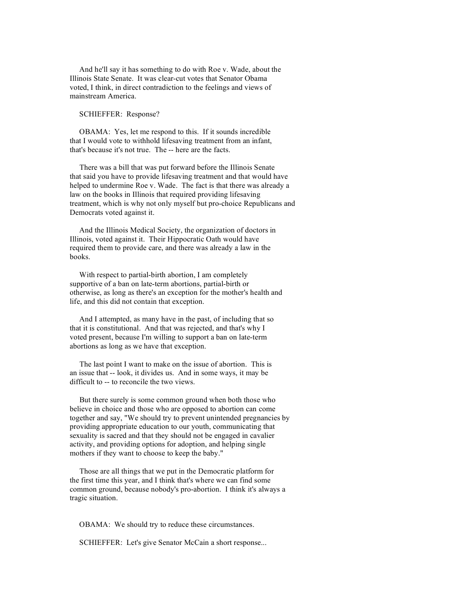And he'll say it has something to do with Roe v. Wade, about the Illinois State Senate. It was clear-cut votes that Senator Obama voted, I think, in direct contradiction to the feelings and views of mainstream America.

SCHIEFFER: Response?

 OBAMA: Yes, let me respond to this. If it sounds incredible that I would vote to withhold lifesaving treatment from an infant, that's because it's not true. The -- here are the facts.

 There was a bill that was put forward before the Illinois Senate that said you have to provide lifesaving treatment and that would have helped to undermine Roe v. Wade. The fact is that there was already a law on the books in Illinois that required providing lifesaving treatment, which is why not only myself but pro-choice Republicans and Democrats voted against it.

 And the Illinois Medical Society, the organization of doctors in Illinois, voted against it. Their Hippocratic Oath would have required them to provide care, and there was already a law in the books.

 With respect to partial-birth abortion, I am completely supportive of a ban on late-term abortions, partial-birth or otherwise, as long as there's an exception for the mother's health and life, and this did not contain that exception.

 And I attempted, as many have in the past, of including that so that it is constitutional. And that was rejected, and that's why I voted present, because I'm willing to support a ban on late-term abortions as long as we have that exception.

 The last point I want to make on the issue of abortion. This is an issue that -- look, it divides us. And in some ways, it may be difficult to -- to reconcile the two views.

 But there surely is some common ground when both those who believe in choice and those who are opposed to abortion can come together and say, "We should try to prevent unintended pregnancies by providing appropriate education to our youth, communicating that sexuality is sacred and that they should not be engaged in cavalier activity, and providing options for adoption, and helping single mothers if they want to choose to keep the baby."

 Those are all things that we put in the Democratic platform for the first time this year, and I think that's where we can find some common ground, because nobody's pro-abortion. I think it's always a tragic situation.

OBAMA: We should try to reduce these circumstances.

SCHIEFFER: Let's give Senator McCain a short response...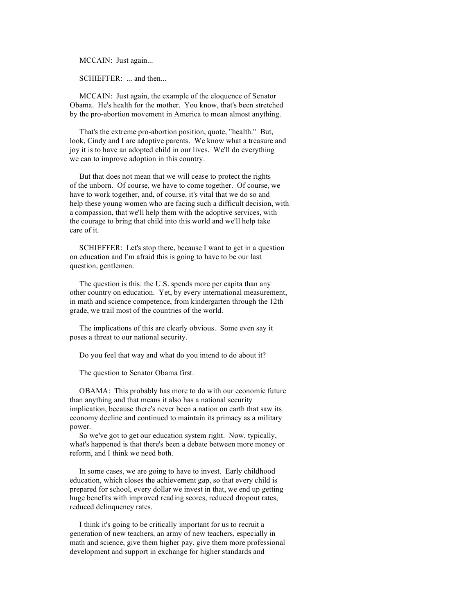MCCAIN: Just again...

SCHIEFFER: ... and then...

 MCCAIN: Just again, the example of the eloquence of Senator Obama. He's health for the mother. You know, that's been stretched by the pro-abortion movement in America to mean almost anything.

 That's the extreme pro-abortion position, quote, "health." But, look, Cindy and I are adoptive parents. We know what a treasure and joy it is to have an adopted child in our lives. We'll do everything we can to improve adoption in this country.

 But that does not mean that we will cease to protect the rights of the unborn. Of course, we have to come together. Of course, we have to work together, and, of course, it's vital that we do so and help these young women who are facing such a difficult decision, with a compassion, that we'll help them with the adoptive services, with the courage to bring that child into this world and we'll help take care of it.

 SCHIEFFER: Let's stop there, because I want to get in a question on education and I'm afraid this is going to have to be our last question, gentlemen.

 The question is this: the U.S. spends more per capita than any other country on education. Yet, by every international measurement, in math and science competence, from kindergarten through the 12th grade, we trail most of the countries of the world.

 The implications of this are clearly obvious. Some even say it poses a threat to our national security.

Do you feel that way and what do you intend to do about it?

The question to Senator Obama first.

 OBAMA: This probably has more to do with our economic future than anything and that means it also has a national security implication, because there's never been a nation on earth that saw its economy decline and continued to maintain its primacy as a military power.

 So we've got to get our education system right. Now, typically, what's happened is that there's been a debate between more money or reform, and I think we need both.

 In some cases, we are going to have to invest. Early childhood education, which closes the achievement gap, so that every child is prepared for school, every dollar we invest in that, we end up getting huge benefits with improved reading scores, reduced dropout rates, reduced delinquency rates.

 I think it's going to be critically important for us to recruit a generation of new teachers, an army of new teachers, especially in math and science, give them higher pay, give them more professional development and support in exchange for higher standards and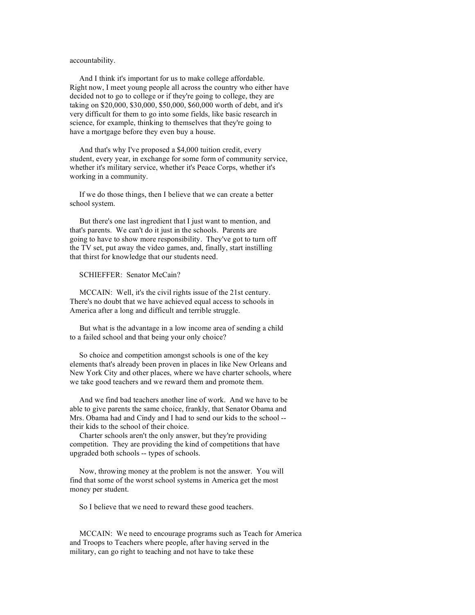#### accountability.

 And I think it's important for us to make college affordable. Right now, I meet young people all across the country who either have decided not to go to college or if they're going to college, they are taking on \$20,000, \$30,000, \$50,000, \$60,000 worth of debt, and it's very difficult for them to go into some fields, like basic research in science, for example, thinking to themselves that they're going to have a mortgage before they even buy a house.

 And that's why I've proposed a \$4,000 tuition credit, every student, every year, in exchange for some form of community service, whether it's military service, whether it's Peace Corps, whether it's working in a community.

 If we do those things, then I believe that we can create a better school system.

 But there's one last ingredient that I just want to mention, and that's parents. We can't do it just in the schools. Parents are going to have to show more responsibility. They've got to turn off the TV set, put away the video games, and, finally, start instilling that thirst for knowledge that our students need.

SCHIEFFER: Senator McCain?

 MCCAIN: Well, it's the civil rights issue of the 21st century. There's no doubt that we have achieved equal access to schools in America after a long and difficult and terrible struggle.

 But what is the advantage in a low income area of sending a child to a failed school and that being your only choice?

 So choice and competition amongst schools is one of the key elements that's already been proven in places in like New Orleans and New York City and other places, where we have charter schools, where we take good teachers and we reward them and promote them.

 And we find bad teachers another line of work. And we have to be able to give parents the same choice, frankly, that Senator Obama and Mrs. Obama had and Cindy and I had to send our kids to the school - their kids to the school of their choice.

 Charter schools aren't the only answer, but they're providing competition. They are providing the kind of competitions that have upgraded both schools -- types of schools.

 Now, throwing money at the problem is not the answer. You will find that some of the worst school systems in America get the most money per student.

So I believe that we need to reward these good teachers.

 MCCAIN: We need to encourage programs such as Teach for America and Troops to Teachers where people, after having served in the military, can go right to teaching and not have to take these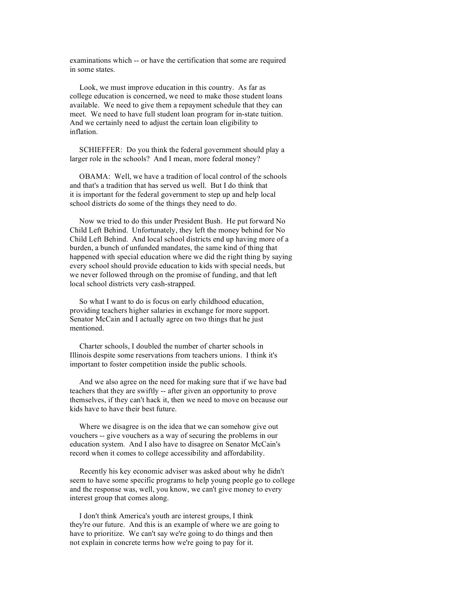examinations which -- or have the certification that some are required in some states.

 Look, we must improve education in this country. As far as college education is concerned, we need to make those student loans available. We need to give them a repayment schedule that they can meet. We need to have full student loan program for in-state tuition. And we certainly need to adjust the certain loan eligibility to inflation.

 SCHIEFFER: Do you think the federal government should play a larger role in the schools? And I mean, more federal money?

 OBAMA: Well, we have a tradition of local control of the schools and that's a tradition that has served us well. But I do think that it is important for the federal government to step up and help local school districts do some of the things they need to do.

 Now we tried to do this under President Bush. He put forward No Child Left Behind. Unfortunately, they left the money behind for No Child Left Behind. And local school districts end up having more of a burden, a bunch of unfunded mandates, the same kind of thing that happened with special education where we did the right thing by saying every school should provide education to kids with special needs, but we never followed through on the promise of funding, and that left local school districts very cash-strapped.

 So what I want to do is focus on early childhood education, providing teachers higher salaries in exchange for more support. Senator McCain and I actually agree on two things that he just mentioned.

 Charter schools, I doubled the number of charter schools in Illinois despite some reservations from teachers unions. I think it's important to foster competition inside the public schools.

 And we also agree on the need for making sure that if we have bad teachers that they are swiftly -- after given an opportunity to prove themselves, if they can't hack it, then we need to move on because our kids have to have their best future.

 Where we disagree is on the idea that we can somehow give out vouchers -- give vouchers as a way of securing the problems in our education system. And I also have to disagree on Senator McCain's record when it comes to college accessibility and affordability.

 Recently his key economic adviser was asked about why he didn't seem to have some specific programs to help young people go to college and the response was, well, you know, we can't give money to every interest group that comes along.

 I don't think America's youth are interest groups, I think they're our future. And this is an example of where we are going to have to prioritize. We can't say we're going to do things and then not explain in concrete terms how we're going to pay for it.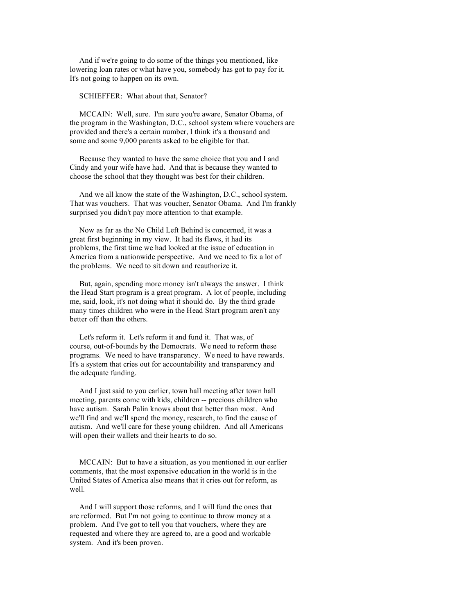And if we're going to do some of the things you mentioned, like lowering loan rates or what have you, somebody has got to pay for it. It's not going to happen on its own.

SCHIEFFER: What about that, Senator?

 MCCAIN: Well, sure. I'm sure you're aware, Senator Obama, of the program in the Washington, D.C., school system where vouchers are provided and there's a certain number, I think it's a thousand and some and some 9,000 parents asked to be eligible for that.

 Because they wanted to have the same choice that you and I and Cindy and your wife have had. And that is because they wanted to choose the school that they thought was best for their children.

 And we all know the state of the Washington, D.C., school system. That was vouchers. That was voucher, Senator Obama. And I'm frankly surprised you didn't pay more attention to that example.

 Now as far as the No Child Left Behind is concerned, it was a great first beginning in my view. It had its flaws, it had its problems, the first time we had looked at the issue of education in America from a nationwide perspective. And we need to fix a lot of the problems. We need to sit down and reauthorize it.

 But, again, spending more money isn't always the answer. I think the Head Start program is a great program. A lot of people, including me, said, look, it's not doing what it should do. By the third grade many times children who were in the Head Start program aren't any better off than the others.

 Let's reform it. Let's reform it and fund it. That was, of course, out-of-bounds by the Democrats. We need to reform these programs. We need to have transparency. We need to have rewards. It's a system that cries out for accountability and transparency and the adequate funding.

 And I just said to you earlier, town hall meeting after town hall meeting, parents come with kids, children -- precious children who have autism. Sarah Palin knows about that better than most. And we'll find and we'll spend the money, research, to find the cause of autism. And we'll care for these young children. And all Americans will open their wallets and their hearts to do so.

 MCCAIN: But to have a situation, as you mentioned in our earlier comments, that the most expensive education in the world is in the United States of America also means that it cries out for reform, as well

 And I will support those reforms, and I will fund the ones that are reformed. But I'm not going to continue to throw money at a problem. And I've got to tell you that vouchers, where they are requested and where they are agreed to, are a good and workable system. And it's been proven.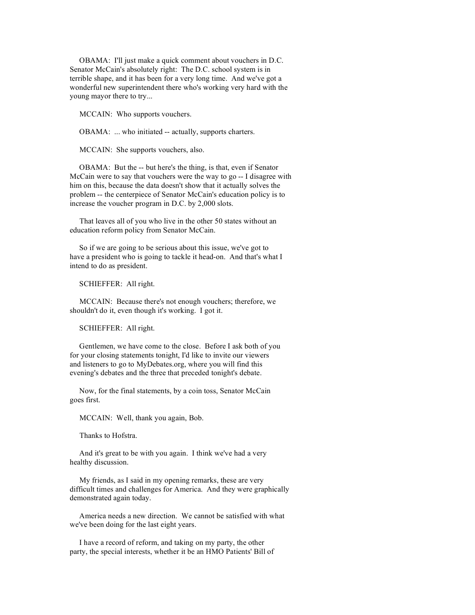OBAMA: I'll just make a quick comment about vouchers in D.C. Senator McCain's absolutely right: The D.C. school system is in terrible shape, and it has been for a very long time. And we've got a wonderful new superintendent there who's working very hard with the young mayor there to try...

MCCAIN: Who supports vouchers.

OBAMA: ... who initiated -- actually, supports charters.

MCCAIN: She supports vouchers, also.

 OBAMA: But the -- but here's the thing, is that, even if Senator McCain were to say that vouchers were the way to go -- I disagree with him on this, because the data doesn't show that it actually solves the problem -- the centerpiece of Senator McCain's education policy is to increase the voucher program in D.C. by 2,000 slots.

 That leaves all of you who live in the other 50 states without an education reform policy from Senator McCain.

 So if we are going to be serious about this issue, we've got to have a president who is going to tackle it head-on. And that's what I intend to do as president.

SCHIEFFER: All right.

 MCCAIN: Because there's not enough vouchers; therefore, we shouldn't do it, even though it's working. I got it.

SCHIEFFER: All right.

 Gentlemen, we have come to the close. Before I ask both of you for your closing statements tonight, I'd like to invite our viewers and listeners to go to MyDebates.org, where you will find this evening's debates and the three that preceded tonight's debate.

 Now, for the final statements, by a coin toss, Senator McCain goes first.

MCCAIN: Well, thank you again, Bob.

Thanks to Hofstra.

 And it's great to be with you again. I think we've had a very healthy discussion.

 My friends, as I said in my opening remarks, these are very difficult times and challenges for America. And they were graphically demonstrated again today.

 America needs a new direction. We cannot be satisfied with what we've been doing for the last eight years.

 I have a record of reform, and taking on my party, the other party, the special interests, whether it be an HMO Patients' Bill of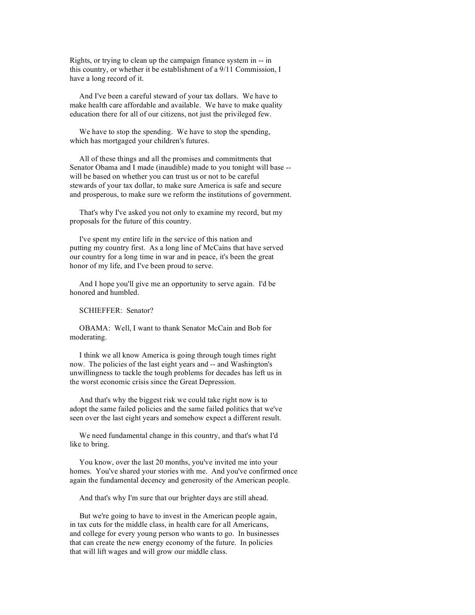Rights, or trying to clean up the campaign finance system in -- in this country, or whether it be establishment of a 9/11 Commission, I have a long record of it.

 And I've been a careful steward of your tax dollars. We have to make health care affordable and available. We have to make quality education there for all of our citizens, not just the privileged few.

 We have to stop the spending. We have to stop the spending, which has mortgaged your children's futures.

 All of these things and all the promises and commitments that Senator Obama and I made (inaudible) made to you tonight will base - will be based on whether you can trust us or not to be careful stewards of your tax dollar, to make sure America is safe and secure and prosperous, to make sure we reform the institutions of government.

 That's why I've asked you not only to examine my record, but my proposals for the future of this country.

 I've spent my entire life in the service of this nation and putting my country first. As a long line of McCains that have served our country for a long time in war and in peace, it's been the great honor of my life, and I've been proud to serve.

 And I hope you'll give me an opportunity to serve again. I'd be honored and humbled.

SCHIEFFER: Senator?

 OBAMA: Well, I want to thank Senator McCain and Bob for moderating.

 I think we all know America is going through tough times right now. The policies of the last eight years and -- and Washington's unwillingness to tackle the tough problems for decades has left us in the worst economic crisis since the Great Depression.

 And that's why the biggest risk we could take right now is to adopt the same failed policies and the same failed politics that we've seen over the last eight years and somehow expect a different result.

 We need fundamental change in this country, and that's what I'd like to bring.

 You know, over the last 20 months, you've invited me into your homes. You've shared your stories with me. And you've confirmed once again the fundamental decency and generosity of the American people.

And that's why I'm sure that our brighter days are still ahead.

 But we're going to have to invest in the American people again, in tax cuts for the middle class, in health care for all Americans, and college for every young person who wants to go. In businesses that can create the new energy economy of the future. In policies that will lift wages and will grow our middle class.